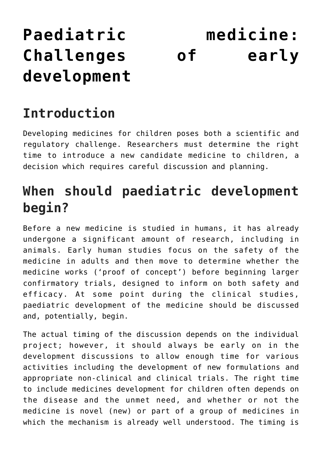# **[Paediatric medicine:](https://toolbox.eupati.eu/resources/paediatric-medicine-challenges-of-early-development/) [Challenges of early](https://toolbox.eupati.eu/resources/paediatric-medicine-challenges-of-early-development/) [development](https://toolbox.eupati.eu/resources/paediatric-medicine-challenges-of-early-development/)**

## **Introduction**

Developing medicines for children poses both a scientific and regulatory challenge. Researchers must determine the right time to introduce a new candidate medicine to children, a decision which requires careful discussion and planning.

## **When should paediatric development begin?**

Before a new medicine is studied in humans, it has already undergone a significant amount of research, including in animals. Early human studies focus on the safety of the medicine in adults and then move to determine whether the medicine works ('proof of concept') before beginning larger confirmatory trials, designed to inform on both safety and efficacy. At some point during the clinical studies, paediatric development of the medicine should be discussed and, potentially, begin.

The actual timing of the discussion depends on the individual project; however, it should always be early on in the development discussions to allow enough time for various activities including the development of new formulations and appropriate non-clinical and clinical trials. The right time to include medicines development for children often depends on the disease and the unmet need, and whether or not the medicine is novel (new) or part of a group of medicines in which the mechanism is already well understood. The timing is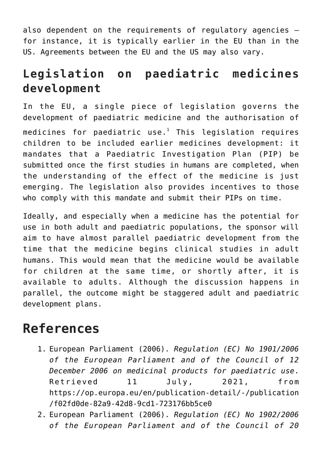also dependent on the requirements of regulatory agencies – for instance, it is typically earlier in the EU than in the US. Agreements between the EU and the US may also vary.

#### **Legislation on paediatric medicines development**

In the EU, a single piece of legislation governs the development of paediatric medicine and the authorisation of medicines for paediatric use. $^{\rm 1}$  This legislation requires children to be included earlier medicines development: it mandates that a Paediatric Investigation Plan (PIP) be submitted once the first studies in humans are completed, when the understanding of the effect of the medicine is just emerging. The legislation also provides incentives to those who comply with this mandate and submit their PIPs on time.

Ideally, and especially when a medicine has the potential for use in both adult and paediatric populations, the sponsor will aim to have almost parallel paediatric development from the time that the medicine begins clinical studies in adult humans. This would mean that the medicine would be available for children at the same time, or shortly after, it is available to adults. Although the discussion happens in parallel, the outcome might be staggered adult and paediatric development plans.

#### **References**

- 1. European Parliament (2006). *Regulation (EC) No 1901/2006 of the European Parliament and of the Council of 12 December 2006 on medicinal products for paediatric use*. Retrieved 11 July, 2021, from [https://op.europa.eu/en/publication-detail/-/publication](https://op.europa.eu/en/publication-detail/-/publication/f02fd0de-82a9-42d8-9cd1-723176bb5ce0) [/f02fd0de-82a9-42d8-9cd1-723176bb5ce0](https://op.europa.eu/en/publication-detail/-/publication/f02fd0de-82a9-42d8-9cd1-723176bb5ce0)
- 2. European Parliament (2006). *Regulation (EC) No 1902/2006 of the European Parliament and of the Council of 20*